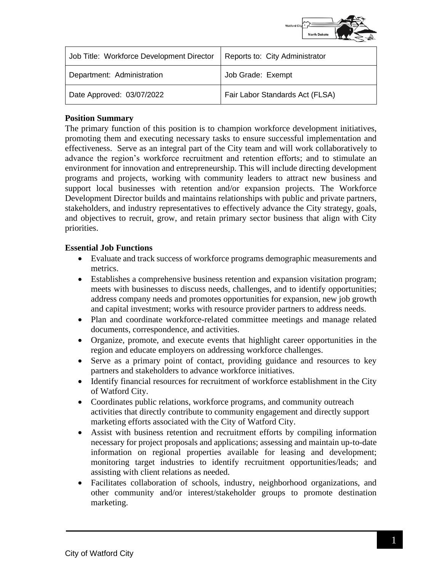

| Job Title: Workforce Development Director | Reports to: City Administrator  |
|-------------------------------------------|---------------------------------|
| Department: Administration                | Job Grade: Exempt               |
| Date Approved: 03/07/2022                 | Fair Labor Standards Act (FLSA) |

### **Position Summary**

The primary function of this position is to champion workforce development initiatives, promoting them and executing necessary tasks to ensure successful implementation and effectiveness. Serve as an integral part of the City team and will work collaboratively to advance the region's workforce recruitment and retention efforts; and to stimulate an environment for innovation and entrepreneurship. This will include directing development programs and projects, working with community leaders to attract new business and support local businesses with retention and/or expansion projects. The Workforce Development Director builds and maintains relationships with public and private partners, stakeholders, and industry representatives to effectively advance the City strategy, goals, and objectives to recruit, grow, and retain primary sector business that align with City priorities.

### **Essential Job Functions**

- Evaluate and track success of workforce programs demographic measurements and metrics.
- Establishes a comprehensive business retention and expansion visitation program; meets with businesses to discuss needs, challenges, and to identify opportunities; address company needs and promotes opportunities for expansion, new job growth and capital investment; works with resource provider partners to address needs.
- Plan and coordinate workforce-related committee meetings and manage related documents, correspondence, and activities.
- Organize, promote, and execute events that highlight career opportunities in the region and educate employers on addressing workforce challenges.
- Serve as a primary point of contact, providing guidance and resources to key partners and stakeholders to advance workforce initiatives.
- Identify financial resources for recruitment of workforce establishment in the City of Watford City.
- Coordinates public relations, workforce programs, and community outreach activities that directly contribute to community engagement and directly support marketing efforts associated with the City of Watford City.
- Assist with business retention and recruitment efforts by compiling information necessary for project proposals and applications; assessing and maintain up-to-date information on regional properties available for leasing and development; monitoring target industries to identify recruitment opportunities/leads; and assisting with client relations as needed.
- Facilitates collaboration of schools, industry, neighborhood organizations, and other community and/or interest/stakeholder groups to promote destination marketing.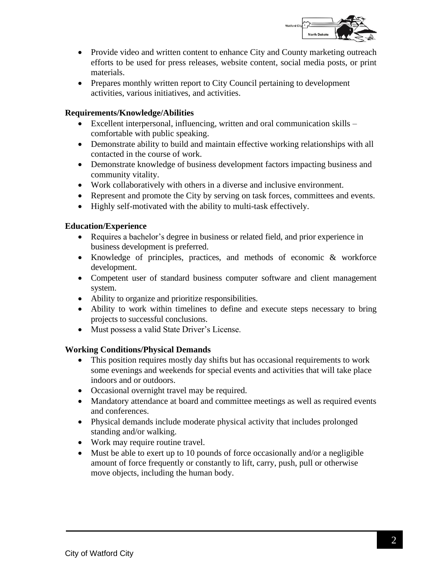

- Provide video and written content to enhance City and County marketing outreach efforts to be used for press releases, website content, social media posts, or print materials.
- Prepares monthly written report to City Council pertaining to development activities, various initiatives, and activities.

# **Requirements/Knowledge/Abilities**

- Excellent interpersonal, influencing, written and oral communication skills comfortable with public speaking.
- Demonstrate ability to build and maintain effective working relationships with all contacted in the course of work.
- Demonstrate knowledge of business development factors impacting business and community vitality.
- Work collaboratively with others in a diverse and inclusive environment.
- Represent and promote the City by serving on task forces, committees and events.
- Highly self-motivated with the ability to multi-task effectively.

## **Education/Experience**

- Requires a bachelor's degree in business or related field, and prior experience in business development is preferred.
- Knowledge of principles, practices, and methods of economic & workforce development.
- Competent user of standard business computer software and client management system.
- Ability to organize and prioritize responsibilities.
- Ability to work within timelines to define and execute steps necessary to bring projects to successful conclusions.
- Must possess a valid State Driver's License.

### **Working Conditions/Physical Demands**

- This position requires mostly day shifts but has occasional requirements to work some evenings and weekends for special events and activities that will take place indoors and or outdoors.
- Occasional overnight travel may be required.
- Mandatory attendance at board and committee meetings as well as required events and conferences.
- Physical demands include moderate physical activity that includes prolonged standing and/or walking.
- Work may require routine travel.
- Must be able to exert up to 10 pounds of force occasionally and/or a negligible amount of force frequently or constantly to lift, carry, push, pull or otherwise move objects, including the human body.